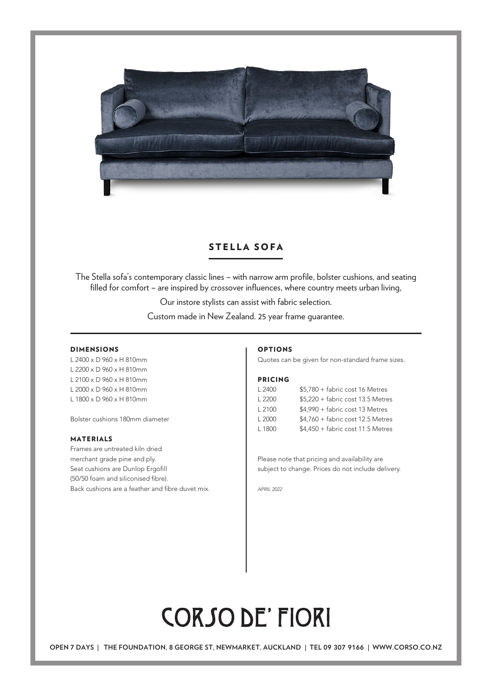

### STELLA SOFA

The Stella sofa's contemporary classic lines – with narrow arm profile, bolster cushions, and seating filled for comfort - are inspired by crossover influences, where country meets urban living,

Our instore stylists can assist with fabric selection.

Custom made in New Zealand. 25 year frame guarantee.

#### DIMENSIONS

L 2400 x D 960 x H 810mm L 2200 x D 960 x H 810mm L 2100 x D 960 x H 810mm L 2000 x D 960 x H 810mm L 1800 x D 960 x H 810mm

Bolster cushions 180mm diameter

#### MATERIALS

Frames are untreated kiln dried merchant grade pine and ply. Seat cushions are Dunlop Ergofill (50/50 foam and siliconised fibre). Back cushions are a feather and fibre duvet mix.

#### OPTIONS

Quotes can be given for non-standard frame sizes.

#### PRICING

| L 2400 | \$5,780 + fabric cost 16 Metres    |
|--------|------------------------------------|
| L2200  | $$5,220 + fabric cost 13.5 Meters$ |
| L2100  | \$4,990 + fabric cost 13 Metres    |
| L2000  | $$4,760 + fabric cost 12.5 Meters$ |
| L 1800 | $$4,450 + fabric cost 11.5$ Metres |

Please note that pricing and availability are subject to change. Prices do not include delivery.

*APRIL 2022*

# **CORSO DE' FIORI**

**OPEN** 7 **DAYS | THE FOUNDATION,** 8 **GEORGE ST, NEWMARKET, AUCKLAND | TEL** 09 307 9166 **| WWW.CORSO.CO.NZ**